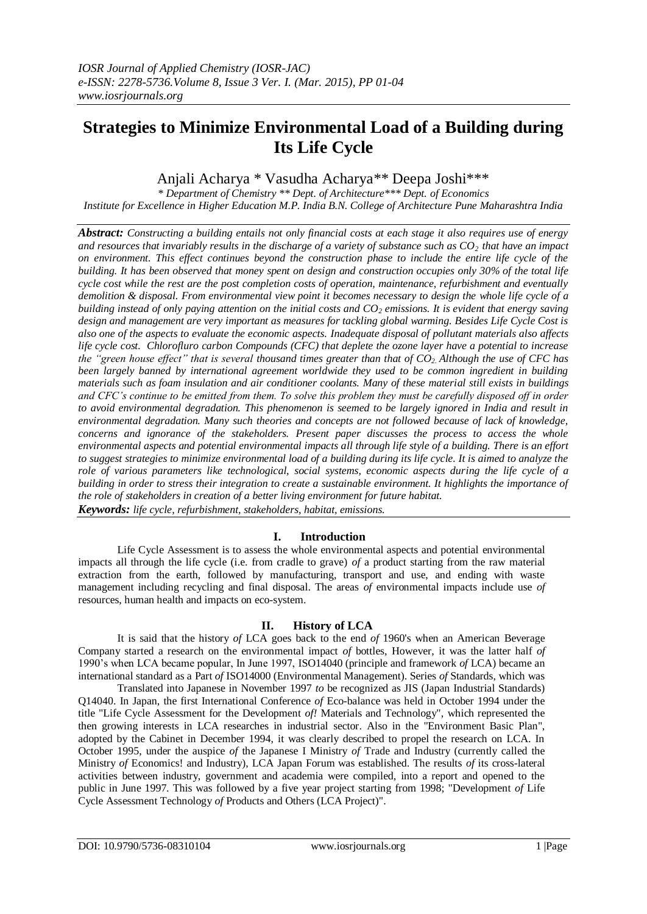# **Strategies to Minimize Environmental Load of a Building during Its Life Cycle**

Anjali Acharya \* Vasudha Acharya\*\* Deepa Joshi\*\*\*

*\* Department of Chemistry \*\* Dept. of Architecture\*\*\* Dept. of Economics Institute for Excellence in Higher Education M.P. India B.N. College of Architecture Pune Maharashtra India*

*Abstract: Constructing a building entails not only financial costs at each stage it also requires use of energy and resources that invariably results in the discharge of a variety of substance such as CO2 that have an impact on environment. This effect continues beyond the construction phase to include the entire life cycle of the building. It has been observed that money spent on design and construction occupies only 30% of the total life cycle cost while the rest are the post completion costs of operation, maintenance, refurbishment and eventually demolition & disposal. From environmental view point it becomes necessary to design the whole life cycle of a building instead of only paying attention on the initial costs and CO<sup>2</sup> emissions. It is evident that energy saving design and management are very important as measures for tackling global warming. Besides Life Cycle Cost is also one of the aspects to evaluate the economic aspects. Inadequate disposal of pollutant materials also affects life cycle cost. Chlorofluro carbon Compounds (CFC) that deplete the ozone layer have a potential to increase the "green house effect" that is several thousand times greater than that of CO2. Although the use of CFC has been largely banned by international agreement worldwide they used to be common ingredient in building materials such as foam insulation and air conditioner coolants. Many of these material still exists in buildings and CFC's continue to be emitted from them. To solve this problem they must be carefully disposed off in order to avoid environmental degradation. This phenomenon is seemed to be largely ignored in India and result in environmental degradation. Many such theories and concepts are not followed because of lack of knowledge, concerns and ignorance of the stakeholders. Present paper discusses the process to access the whole environmental aspects and potential environmental impacts all through life style of a building. There is an effort to suggest strategies to minimize environmental load of a building during its life cycle. It is aimed to analyze the role of various parameters like technological, social systems, economic aspects during the life cycle of a building in order to stress their integration to create a sustainable environment. It highlights the importance of the role of stakeholders in creation of a better living environment for future habitat. Keywords: life cycle, refurbishment, stakeholders, habitat, emissions.*

# **I. Introduction**

Life Cycle Assessment is to assess the whole environmental aspects and potential environmental impacts all through the life cycle (i.e. from cradle to grave) *of* a product starting from the raw material extraction from the earth, followed by manufacturing, transport and use, and ending with waste management including recycling and final disposal. The areas *of* environmental impacts include use *of*  resources, human health and impacts on eco-system.

# **II. History of LCA**

It is said that the history *of* LCA goes back to the end *of* 1960's when an American Beverage Company started a research on the environmental impact *of* bottles, However, it was the latter half *of*  1990's when LCA became popular, In June 1997, ISO14040 (principle and framework *of* LCA) became an international standard as a Part *of* ISO14000 (Environmental Management). Series *of* Standards, which was

Translated into Japanese in November 1997 *to* be recognized as JIS (Japan Industrial Standards) Q14040. In Japan, the first International Conference *of* Eco-balance was held in October 1994 under the title "Life Cycle Assessment for the Development *of!* Materials and Technology", which represented the then growing interests in LCA researches in industrial sector. Also in the "Environment Basic Plan", adopted by the Cabinet in December 1994, it was clearly described to propel the research on LCA. In October 1995, under the auspice *of* the Japanese I Ministry *of* Trade and Industry (currently called the Ministry *of* Economics! and Industry), LCA Japan Forum was established. The results *of* its cross-lateral activities between industry, government and academia were compiled, into a report and opened to the public in June 1997. This was followed by a five year project starting from 1998; "Development *of* Life Cycle Assessment Technology *of* Products and Others (LCA Project)".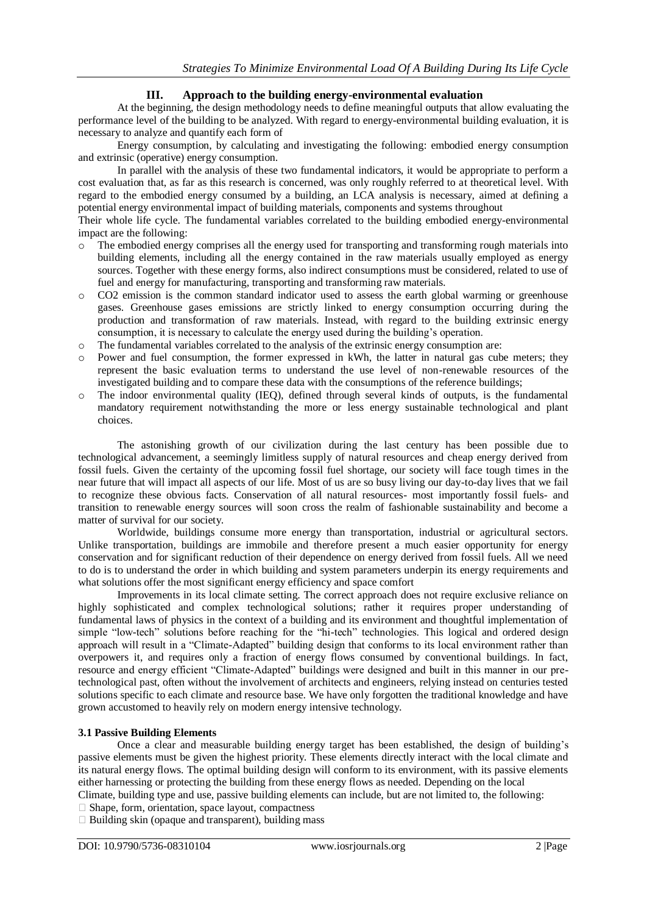## **III. Approach to the building energy-environmental evaluation**

At the beginning, the design methodology needs to define meaningful outputs that allow evaluating the performance level of the building to be analyzed. With regard to energy-environmental building evaluation, it is necessary to analyze and quantify each form of

Energy consumption, by calculating and investigating the following: embodied energy consumption and extrinsic (operative) energy consumption.

In parallel with the analysis of these two fundamental indicators, it would be appropriate to perform a cost evaluation that, as far as this research is concerned, was only roughly referred to at theoretical level. With regard to the embodied energy consumed by a building, an LCA analysis is necessary, aimed at defining a potential energy environmental impact of building materials, components and systems throughout

Their whole life cycle. The fundamental variables correlated to the building embodied energy-environmental impact are the following:

- o The embodied energy comprises all the energy used for transporting and transforming rough materials into building elements, including all the energy contained in the raw materials usually employed as energy sources. Together with these energy forms, also indirect consumptions must be considered, related to use of fuel and energy for manufacturing, transporting and transforming raw materials.
- CO2 emission is the common standard indicator used to assess the earth global warming or greenhouse gases. Greenhouse gases emissions are strictly linked to energy consumption occurring during the production and transformation of raw materials. Instead, with regard to the building extrinsic energy consumption, it is necessary to calculate the energy used during the building's operation.
- $\circ$  The fundamental variables correlated to the analysis of the extrinsic energy consumption are:
- Power and fuel consumption, the former expressed in kWh, the latter in natural gas cube meters; they represent the basic evaluation terms to understand the use level of non-renewable resources of the investigated building and to compare these data with the consumptions of the reference buildings;
- The indoor environmental quality (IEQ), defined through several kinds of outputs, is the fundamental mandatory requirement notwithstanding the more or less energy sustainable technological and plant choices.

The astonishing growth of our civilization during the last century has been possible due to technological advancement, a seemingly limitless supply of natural resources and cheap energy derived from fossil fuels. Given the certainty of the upcoming fossil fuel shortage, our society will face tough times in the near future that will impact all aspects of our life. Most of us are so busy living our day-to-day lives that we fail to recognize these obvious facts. Conservation of all natural resources- most importantly fossil fuels- and transition to renewable energy sources will soon cross the realm of fashionable sustainability and become a matter of survival for our society.

Worldwide, buildings consume more energy than transportation, industrial or agricultural sectors. Unlike transportation, buildings are immobile and therefore present a much easier opportunity for energy conservation and for significant reduction of their dependence on energy derived from fossil fuels. All we need to do is to understand the order in which building and system parameters underpin its energy requirements and what solutions offer the most significant energy efficiency and space comfort

Improvements in its local climate setting. The correct approach does not require exclusive reliance on highly sophisticated and complex technological solutions; rather it requires proper understanding of fundamental laws of physics in the context of a building and its environment and thoughtful implementation of simple "low-tech" solutions before reaching for the "hi-tech" technologies. This logical and ordered design approach will result in a "Climate-Adapted" building design that conforms to its local environment rather than overpowers it, and requires only a fraction of energy flows consumed by conventional buildings. In fact, resource and energy efficient "Climate-Adapted" buildings were designed and built in this manner in our pretechnological past, often without the involvement of architects and engineers, relying instead on centuries tested solutions specific to each climate and resource base. We have only forgotten the traditional knowledge and have grown accustomed to heavily rely on modern energy intensive technology.

## **3.1 Passive Building Elements**

Once a clear and measurable building energy target has been established, the design of building's passive elements must be given the highest priority. These elements directly interact with the local climate and its natural energy flows. The optimal building design will conform to its environment, with its passive elements either harnessing or protecting the building from these energy flows as needed. Depending on the local Climate, building type and use, passive building elements can include, but are not limited to, the following:

 $\Box$  Shape, form, orientation, space layout, compactness

 $\Box$  Building skin (opaque and transparent), building mass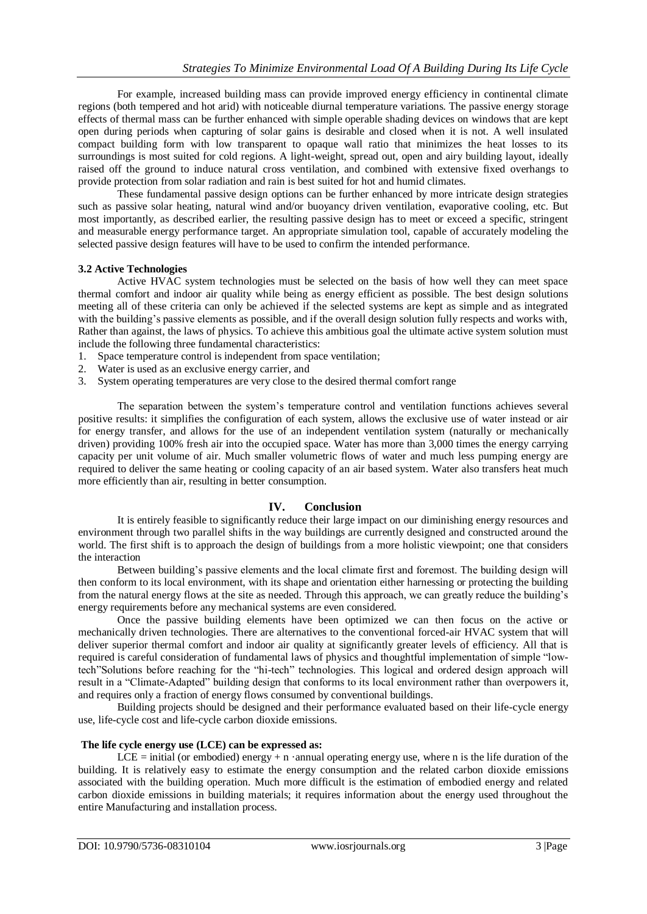For example, increased building mass can provide improved energy efficiency in continental climate regions (both tempered and hot arid) with noticeable diurnal temperature variations. The passive energy storage effects of thermal mass can be further enhanced with simple operable shading devices on windows that are kept open during periods when capturing of solar gains is desirable and closed when it is not. A well insulated compact building form with low transparent to opaque wall ratio that minimizes the heat losses to its surroundings is most suited for cold regions. A light-weight, spread out, open and airy building layout, ideally raised off the ground to induce natural cross ventilation, and combined with extensive fixed overhangs to provide protection from solar radiation and rain is best suited for hot and humid climates.

These fundamental passive design options can be further enhanced by more intricate design strategies such as passive solar heating, natural wind and/or buoyancy driven ventilation, evaporative cooling, etc. But most importantly, as described earlier, the resulting passive design has to meet or exceed a specific, stringent and measurable energy performance target. An appropriate simulation tool, capable of accurately modeling the selected passive design features will have to be used to confirm the intended performance.

#### **3.2 Active Technologies**

Active HVAC system technologies must be selected on the basis of how well they can meet space thermal comfort and indoor air quality while being as energy efficient as possible. The best design solutions meeting all of these criteria can only be achieved if the selected systems are kept as simple and as integrated with the building's passive elements as possible, and if the overall design solution fully respects and works with, Rather than against, the laws of physics. To achieve this ambitious goal the ultimate active system solution must include the following three fundamental characteristics:

- 1. Space temperature control is independent from space ventilation;
- 2. Water is used as an exclusive energy carrier, and
- 3. System operating temperatures are very close to the desired thermal comfort range

The separation between the system's temperature control and ventilation functions achieves several positive results: it simplifies the configuration of each system, allows the exclusive use of water instead or air for energy transfer, and allows for the use of an independent ventilation system (naturally or mechanically driven) providing 100% fresh air into the occupied space. Water has more than 3,000 times the energy carrying capacity per unit volume of air. Much smaller volumetric flows of water and much less pumping energy are required to deliver the same heating or cooling capacity of an air based system. Water also transfers heat much more efficiently than air, resulting in better consumption.

## **IV. Conclusion**

It is entirely feasible to significantly reduce their large impact on our diminishing energy resources and environment through two parallel shifts in the way buildings are currently designed and constructed around the world. The first shift is to approach the design of buildings from a more holistic viewpoint; one that considers the interaction

Between building's passive elements and the local climate first and foremost. The building design will then conform to its local environment, with its shape and orientation either harnessing or protecting the building from the natural energy flows at the site as needed. Through this approach, we can greatly reduce the building's energy requirements before any mechanical systems are even considered.

Once the passive building elements have been optimized we can then focus on the active or mechanically driven technologies. There are alternatives to the conventional forced-air HVAC system that will deliver superior thermal comfort and indoor air quality at significantly greater levels of efficiency. All that is required is careful consideration of fundamental laws of physics and thoughtful implementation of simple "lowtech"Solutions before reaching for the "hi-tech" technologies. This logical and ordered design approach will result in a "Climate-Adapted" building design that conforms to its local environment rather than overpowers it, and requires only a fraction of energy flows consumed by conventional buildings.

Building projects should be designed and their performance evaluated based on their life-cycle energy use, life-cycle cost and life-cycle carbon dioxide emissions.

#### **The life cycle energy use (LCE) can be expressed as:**

LCE = initial (or embodied) energy + n ·annual operating energy use, where n is the life duration of the building. It is relatively easy to estimate the energy consumption and the related carbon dioxide emissions associated with the building operation. Much more difficult is the estimation of embodied energy and related carbon dioxide emissions in building materials; it requires information about the energy used throughout the entire Manufacturing and installation process.